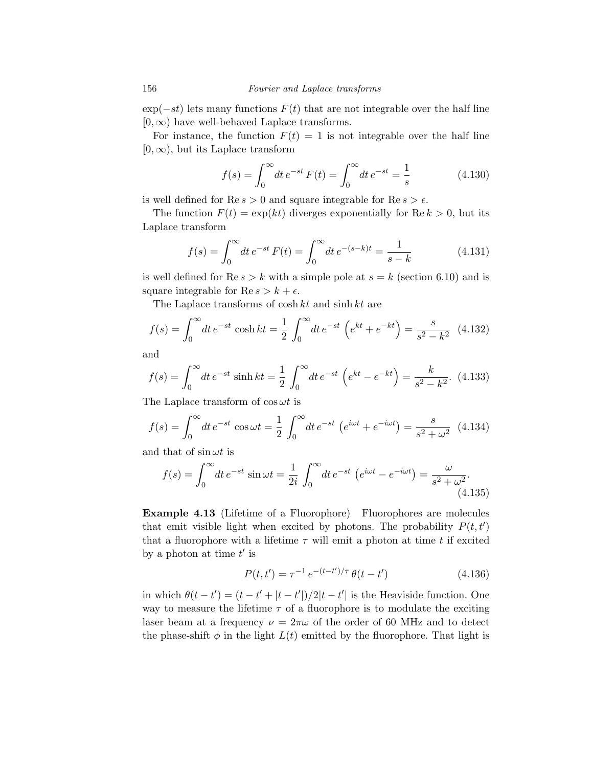$\exp(-st)$  lets many functions  $F(t)$  that are not integrable over the half line  $[0, \infty)$  have well-behaved Laplace transforms.

For instance, the function  $F(t) = 1$  is not integrable over the half line  $[0, \infty)$ , but its Laplace transform

$$
f(s) = \int_0^\infty dt \, e^{-st} \, F(t) = \int_0^\infty dt \, e^{-st} = \frac{1}{s} \tag{4.130}
$$

is well defined for  $\text{Re } s > 0$  and square integrable for  $\text{Re } s > \epsilon$ .

The function  $F(t) = \exp(kt)$  diverges exponentially for  $\text{Re } k > 0$ , but its Laplace transform

$$
f(s) = \int_0^\infty dt \, e^{-st} \, F(t) = \int_0^\infty dt \, e^{-(s-k)t} = \frac{1}{s-k} \tag{4.131}
$$

is well defined for  $\text{Re } s > k$  with a simple pole at  $s = k$  (section 6.10) and is square integrable for  $\text{Re } s > k + \epsilon$ .

The Laplace transforms of cosh *kt* and sinh *kt* are

$$
f(s) = \int_0^\infty dt \, e^{-st} \cosh kt = \frac{1}{2} \int_0^\infty dt \, e^{-st} \left( e^{kt} + e^{-kt} \right) = \frac{s}{s^2 - k^2} \tag{4.132}
$$

and

$$
f(s) = \int_0^\infty dt \, e^{-st} \sinh kt = \frac{1}{2} \int_0^\infty dt \, e^{-st} \left( e^{kt} - e^{-kt} \right) = \frac{k}{s^2 - k^2}.
$$
 (4.133)

The Laplace transform of  $\cos \omega t$  is

$$
f(s) = \int_0^\infty dt \, e^{-st} \cos \omega t = \frac{1}{2} \int_0^\infty dt \, e^{-st} \left( e^{i\omega t} + e^{-i\omega t} \right) = \frac{s}{s^2 + \omega^2} \tag{4.134}
$$

and that of  $\sin \omega t$  is

$$
f(s) = \int_0^\infty dt \, e^{-st} \sin \omega t = \frac{1}{2i} \int_0^\infty dt \, e^{-st} \left( e^{i\omega t} - e^{-i\omega t} \right) = \frac{\omega}{s^2 + \omega^2}.
$$
\n(4.135)

Example 4.13 (Lifetime of a Fluorophore) Fluorophores are molecules that emit visible light when excited by photons. The probability  $P(t, t')$ that a fluorophore with a lifetime  $\tau$  will emit a photon at time  $t$  if excited by a photon at time  $t'$  is

$$
P(t, t') = \tau^{-1} e^{-(t - t')/\tau} \theta(t - t')
$$
\n(4.136)

in which  $\theta(t - t') = (t - t' + |t - t'|)/2|t - t'|$  is the Heaviside function. One way to measure the lifetime  $\tau$  of a fluorophore is to modulate the exciting laser beam at a frequency  $\nu = 2\pi\omega$  of the order of 60 MHz and to detect the phase-shift  $\phi$  in the light  $L(t)$  emitted by the fluorophore. That light is